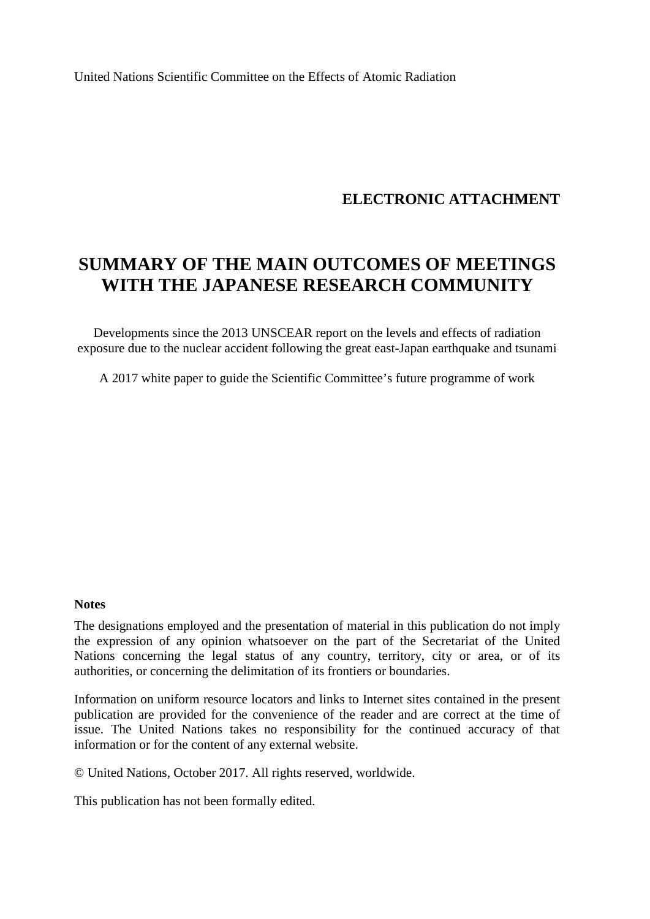United Nations Scientific Committee on the Effects of Atomic Radiation

#### **ELECTRONIC ATTACHMENT**

# **SUMMARY OF THE MAIN OUTCOMES OF MEETINGS WITH THE JAPANESE RESEARCH COMMUNITY**

Developments since the 2013 UNSCEAR report on the levels and effects of radiation exposure due to the nuclear accident following the great east-Japan earthquake and tsunami

A 2017 white paper to guide the Scientific Committee's future programme of work

#### **Notes**

The designations employed and the presentation of material in this publication do not imply the expression of any opinion whatsoever on the part of the Secretariat of the United Nations concerning the legal status of any country, territory, city or area, or of its authorities, or concerning the delimitation of its frontiers or boundaries.

Information on uniform resource locators and links to Internet sites contained in the present publication are provided for the convenience of the reader and are correct at the time of issue. The United Nations takes no responsibility for the continued accuracy of that information or for the content of any external website.

© United Nations, October 2017. All rights reserved, worldwide.

This publication has not been formally edited.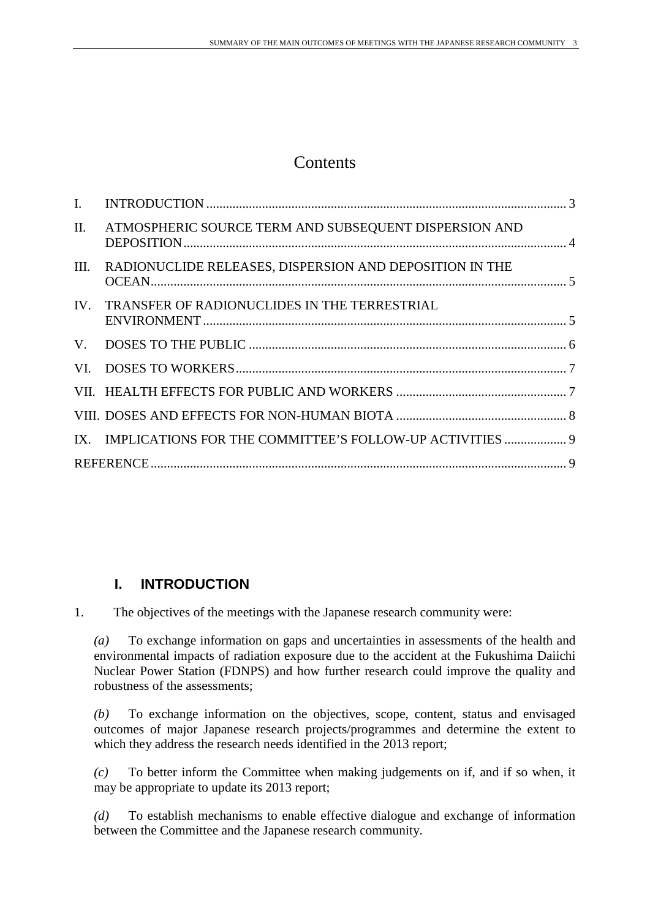## **Contents**

| $\mathbf{I}$ . |                                                              |  |
|----------------|--------------------------------------------------------------|--|
| II.            | ATMOSPHERIC SOURCE TERM AND SUBSEQUENT DISPERSION AND        |  |
| III.           | RADIONUCLIDE RELEASES, DISPERSION AND DEPOSITION IN THE      |  |
|                | IV. TRANSFER OF RADIONUCLIDES IN THE TERRESTRIAL             |  |
|                |                                                              |  |
|                |                                                              |  |
|                |                                                              |  |
|                |                                                              |  |
|                | IX. IMPLICATIONS FOR THE COMMITTEE'S FOLLOW-UP ACTIVITIES  9 |  |
|                |                                                              |  |
|                |                                                              |  |

### <span id="page-2-0"></span>**I. INTRODUCTION**

1. The objectives of the meetings with the Japanese research community were:

*(a)* To exchange information on gaps and uncertainties in assessments of the health and environmental impacts of radiation exposure due to the accident at the Fukushima Daiichi Nuclear Power Station (FDNPS) and how further research could improve the quality and robustness of the assessments;

*(b)* To exchange information on the objectives, scope, content, status and envisaged outcomes of major Japanese research projects/programmes and determine the extent to which they address the research needs identified in the 2013 report;

*(c)* To better inform the Committee when making judgements on if, and if so when, it may be appropriate to update its 2013 report;

*(d)* To establish mechanisms to enable effective dialogue and exchange of information between the Committee and the Japanese research community.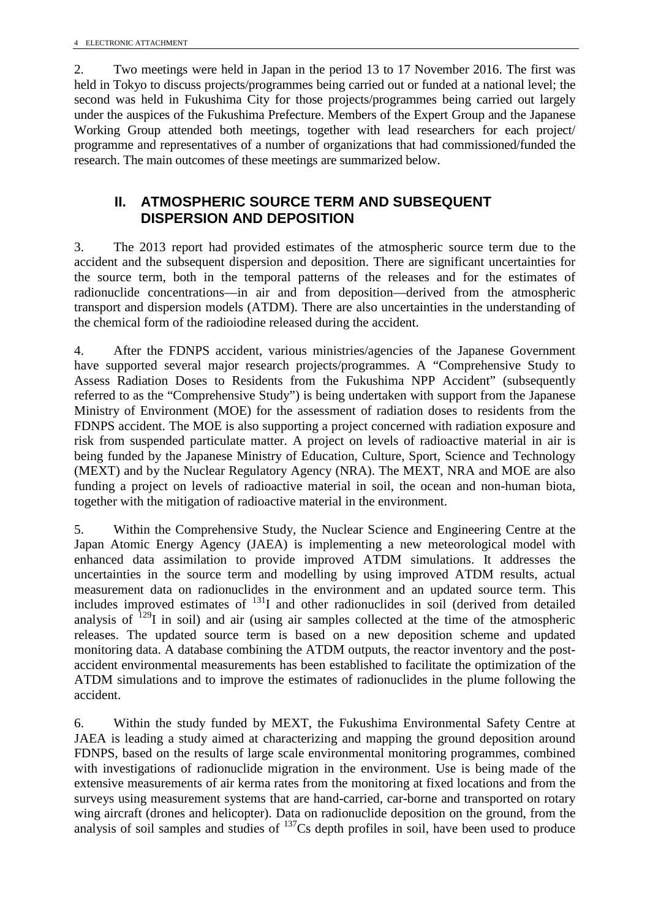2. Two meetings were held in Japan in the period 13 to 17 November 2016. The first was held in Tokyo to discuss projects/programmes being carried out or funded at a national level; the second was held in Fukushima City for those projects/programmes being carried out largely under the auspices of the Fukushima Prefecture. Members of the Expert Group and the Japanese Working Group attended both meetings, together with lead researchers for each project/ programme and representatives of a number of organizations that had commissioned/funded the research. The main outcomes of these meetings are summarized below.

#### <span id="page-3-0"></span>**II. ATMOSPHERIC SOURCE TERM AND SUBSEQUENT DISPERSION AND DEPOSITION**

3. The 2013 report had provided estimates of the atmospheric source term due to the accident and the subsequent dispersion and deposition. There are significant uncertainties for the source term, both in the temporal patterns of the releases and for the estimates of radionuclide concentrations—in air and from deposition—derived from the atmospheric transport and dispersion models (ATDM). There are also uncertainties in the understanding of the chemical form of the radioiodine released during the accident.

4. After the FDNPS accident, various ministries/agencies of the Japanese Government have supported several major research projects/programmes. A "Comprehensive Study to Assess Radiation Doses to Residents from the Fukushima NPP Accident" (subsequently referred to as the "Comprehensive Study") is being undertaken with support from the Japanese Ministry of Environment (MOE) for the assessment of radiation doses to residents from the FDNPS accident. The MOE is also supporting a project concerned with radiation exposure and risk from suspended particulate matter. A project on levels of radioactive material in air is being funded by the Japanese Ministry of Education, Culture, Sport, Science and Technology (MEXT) and by the Nuclear Regulatory Agency (NRA). The MEXT, NRA and MOE are also funding a project on levels of radioactive material in soil, the ocean and non-human biota, together with the mitigation of radioactive material in the environment.

5. Within the Comprehensive Study, the Nuclear Science and Engineering Centre at the Japan Atomic Energy Agency (JAEA) is implementing a new meteorological model with enhanced data assimilation to provide improved ATDM simulations. It addresses the uncertainties in the source term and modelling by using improved ATDM results, actual measurement data on radionuclides in the environment and an updated source term. This includes improved estimates of  $^{131}I$  and other radionuclides in soil (derived from detailed analysis of  $129$ I in soil) and air (using air samples collected at the time of the atmospheric releases. The updated source term is based on a new deposition scheme and updated monitoring data. A database combining the ATDM outputs, the reactor inventory and the postaccident environmental measurements has been established to facilitate the optimization of the ATDM simulations and to improve the estimates of radionuclides in the plume following the accident.

6. Within the study funded by MEXT, the Fukushima Environmental Safety Centre at JAEA is leading a study aimed at characterizing and mapping the ground deposition around FDNPS, based on the results of large scale environmental monitoring programmes, combined with investigations of radionuclide migration in the environment. Use is being made of the extensive measurements of air kerma rates from the monitoring at fixed locations and from the surveys using measurement systems that are hand-carried, car-borne and transported on rotary wing aircraft (drones and helicopter). Data on radionuclide deposition on the ground, from the analysis of soil samples and studies of <sup>137</sup>Cs depth profiles in soil, have been used to produce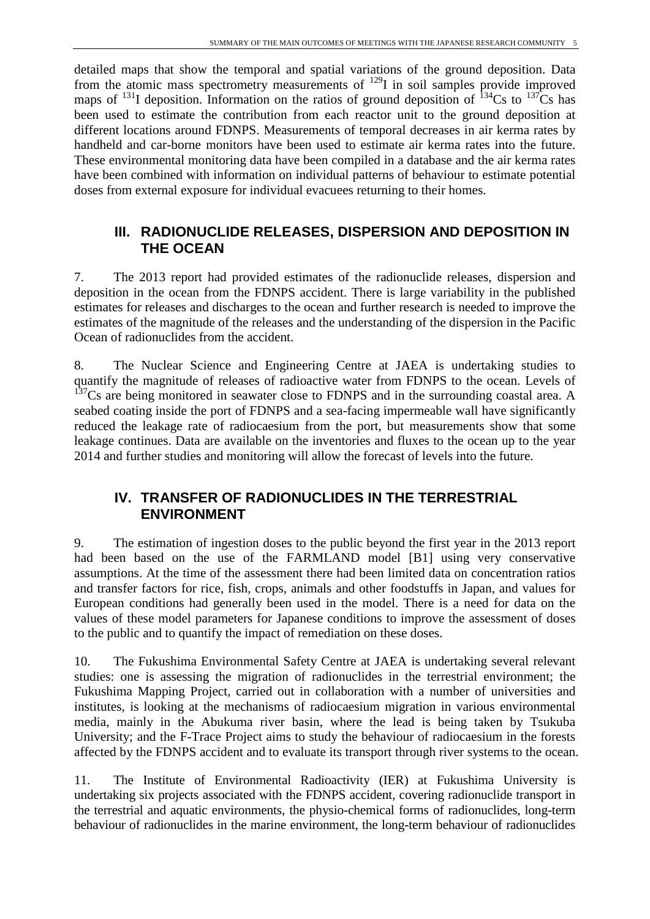detailed maps that show the temporal and spatial variations of the ground deposition. Data from the atomic mass spectrometry measurements of <sup>129</sup>I in soil samples provide improved maps of  $^{131}$ I deposition. Information on the ratios of ground deposition of  $^{134}$ Cs to  $^{137}$ Cs has been used to estimate the contribution from each reactor unit to the ground deposition at different locations around FDNPS. Measurements of temporal decreases in air kerma rates by handheld and car-borne monitors have been used to estimate air kerma rates into the future. These environmental monitoring data have been compiled in a database and the air kerma rates have been combined with information on individual patterns of behaviour to estimate potential doses from external exposure for individual evacuees returning to their homes.

#### <span id="page-4-0"></span>**III. RADIONUCLIDE RELEASES, DISPERSION AND DEPOSITION IN THE OCEAN**

7. The 2013 report had provided estimates of the radionuclide releases, dispersion and deposition in the ocean from the FDNPS accident. There is large variability in the published estimates for releases and discharges to the ocean and further research is needed to improve the estimates of the magnitude of the releases and the understanding of the dispersion in the Pacific Ocean of radionuclides from the accident.

8. The Nuclear Science and Engineering Centre at JAEA is undertaking studies to quantify the magnitude of releases of radioactive water from FDNPS to the ocean. Levels of  $137$ Cs are being monitored in seawater close to FDNPS and in the surrounding coastal area. A seabed coating inside the port of FDNPS and a sea-facing impermeable wall have significantly reduced the leakage rate of radiocaesium from the port, but measurements show that some leakage continues. Data are available on the inventories and fluxes to the ocean up to the year 2014 and further studies and monitoring will allow the forecast of levels into the future.

#### <span id="page-4-1"></span>**IV. TRANSFER OF RADIONUCLIDES IN THE TERRESTRIAL ENVIRONMENT**

9. The estimation of ingestion doses to the public beyond the first year in the 2013 report had been based on the use of the FARMLAND model [B1] using very conservative assumptions. At the time of the assessment there had been limited data on concentration ratios and transfer factors for rice, fish, crops, animals and other foodstuffs in Japan, and values for European conditions had generally been used in the model. There is a need for data on the values of these model parameters for Japanese conditions to improve the assessment of doses to the public and to quantify the impact of remediation on these doses.

10. The Fukushima Environmental Safety Centre at JAEA is undertaking several relevant studies: one is assessing the migration of radionuclides in the terrestrial environment; the Fukushima Mapping Project, carried out in collaboration with a number of universities and institutes, is looking at the mechanisms of radiocaesium migration in various environmental media, mainly in the Abukuma river basin, where the lead is being taken by Tsukuba University; and the F-Trace Project aims to study the behaviour of radiocaesium in the forests affected by the FDNPS accident and to evaluate its transport through river systems to the ocean.

11. The Institute of Environmental Radioactivity (IER) at Fukushima University is undertaking six projects associated with the FDNPS accident, covering radionuclide transport in the terrestrial and aquatic environments, the physio-chemical forms of radionuclides, long-term behaviour of radionuclides in the marine environment, the long-term behaviour of radionuclides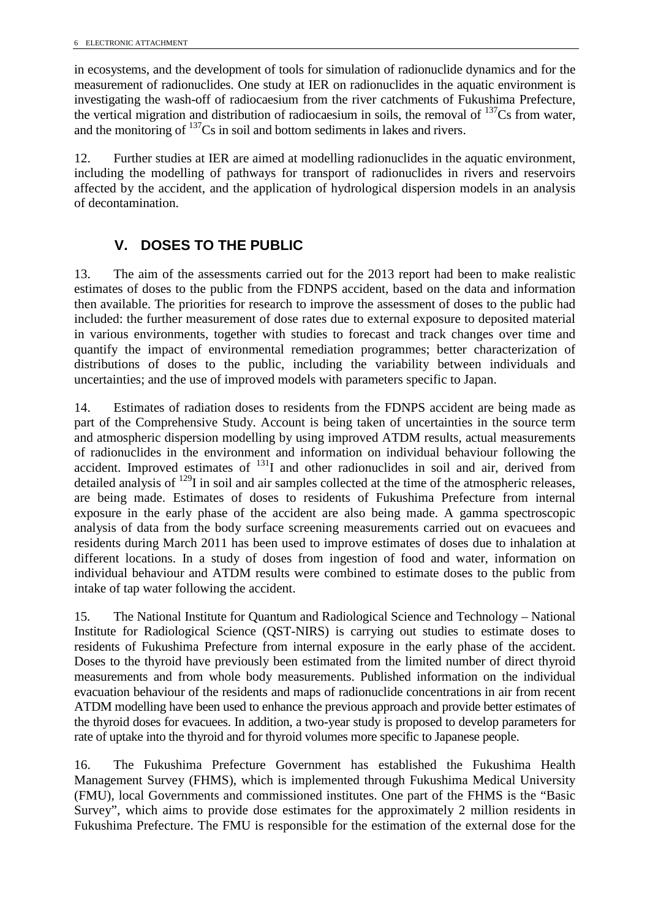in ecosystems, and the development of tools for simulation of radionuclide dynamics and for the measurement of radionuclides. One study at IER on radionuclides in the aquatic environment is investigating the wash-off of radiocaesium from the river catchments of Fukushima Prefecture, the vertical migration and distribution of radiocaesium in soils, the removal of  $137Cs$  from water, and the monitoring of  $137Cs$  in soil and bottom sediments in lakes and rivers.

12. Further studies at IER are aimed at modelling radionuclides in the aquatic environment, including the modelling of pathways for transport of radionuclides in rivers and reservoirs affected by the accident, and the application of hydrological dispersion models in an analysis of decontamination.

#### <span id="page-5-0"></span>**V. DOSES TO THE PUBLIC**

13. The aim of the assessments carried out for the 2013 report had been to make realistic estimates of doses to the public from the FDNPS accident, based on the data and information then available. The priorities for research to improve the assessment of doses to the public had included: the further measurement of dose rates due to external exposure to deposited material in various environments, together with studies to forecast and track changes over time and quantify the impact of environmental remediation programmes; better characterization of distributions of doses to the public, including the variability between individuals and uncertainties; and the use of improved models with parameters specific to Japan.

14. Estimates of radiation doses to residents from the FDNPS accident are being made as part of the Comprehensive Study. Account is being taken of uncertainties in the source term and atmospheric dispersion modelling by using improved ATDM results, actual measurements of radionuclides in the environment and information on individual behaviour following the accident. Improved estimates of  $^{131}$ I and other radionuclides in soil and air, derived from detailed analysis of  $^{129}$ I in soil and air samples collected at the time of the atmospheric releases, are being made. Estimates of doses to residents of Fukushima Prefecture from internal exposure in the early phase of the accident are also being made. A gamma spectroscopic analysis of data from the body surface screening measurements carried out on evacuees and residents during March 2011 has been used to improve estimates of doses due to inhalation at different locations. In a study of doses from ingestion of food and water, information on individual behaviour and ATDM results were combined to estimate doses to the public from intake of tap water following the accident.

15. The National Institute for Quantum and Radiological Science and Technology – National Institute for Radiological Science (QST-NIRS) is carrying out studies to estimate doses to residents of Fukushima Prefecture from internal exposure in the early phase of the accident. Doses to the thyroid have previously been estimated from the limited number of direct thyroid measurements and from whole body measurements. Published information on the individual evacuation behaviour of the residents and maps of radionuclide concentrations in air from recent ATDM modelling have been used to enhance the previous approach and provide better estimates of the thyroid doses for evacuees. In addition, a two-year study is proposed to develop parameters for rate of uptake into the thyroid and for thyroid volumes more specific to Japanese people.

16. The Fukushima Prefecture Government has established the Fukushima Health Management Survey (FHMS), which is implemented through Fukushima Medical University (FMU), local Governments and commissioned institutes. One part of the FHMS is the "Basic Survey", which aims to provide dose estimates for the approximately 2 million residents in Fukushima Prefecture. The FMU is responsible for the estimation of the external dose for the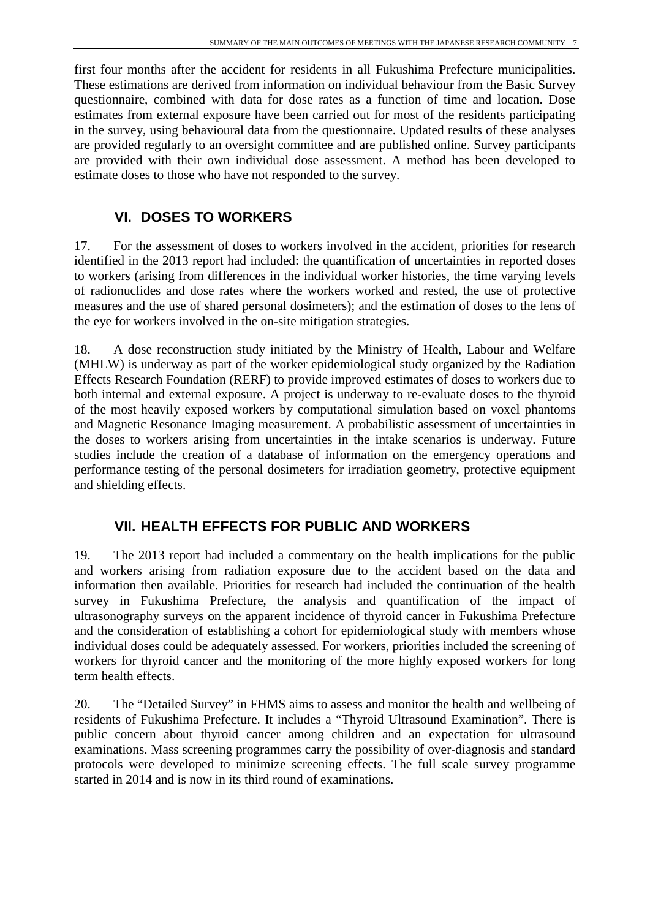first four months after the accident for residents in all Fukushima Prefecture municipalities. These estimations are derived from information on individual behaviour from the Basic Survey questionnaire, combined with data for dose rates as a function of time and location. Dose estimates from external exposure have been carried out for most of the residents participating in the survey, using behavioural data from the questionnaire. Updated results of these analyses are provided regularly to an oversight committee and are published online. Survey participants are provided with their own individual dose assessment. A method has been developed to estimate doses to those who have not responded to the survey.

### <span id="page-6-0"></span>**VI. DOSES TO WORKERS**

17. For the assessment of doses to workers involved in the accident, priorities for research identified in the 2013 report had included: the quantification of uncertainties in reported doses to workers (arising from differences in the individual worker histories, the time varying levels of radionuclides and dose rates where the workers worked and rested, the use of protective measures and the use of shared personal dosimeters); and the estimation of doses to the lens of the eye for workers involved in the on-site mitigation strategies.

18. A dose reconstruction study initiated by the Ministry of Health, Labour and Welfare (MHLW) is underway as part of the worker epidemiological study organized by the Radiation Effects Research Foundation (RERF) to provide improved estimates of doses to workers due to both internal and external exposure. A project is underway to re-evaluate doses to the thyroid of the most heavily exposed workers by computational simulation based on voxel phantoms and Magnetic Resonance Imaging measurement. A probabilistic assessment of uncertainties in the doses to workers arising from uncertainties in the intake scenarios is underway. Future studies include the creation of a database of information on the emergency operations and performance testing of the personal dosimeters for irradiation geometry, protective equipment and shielding effects.

#### <span id="page-6-1"></span>**VII. HEALTH EFFECTS FOR PUBLIC AND WORKERS**

19. The 2013 report had included a commentary on the health implications for the public and workers arising from radiation exposure due to the accident based on the data and information then available. Priorities for research had included the continuation of the health survey in Fukushima Prefecture, the analysis and quantification of the impact of ultrasonography surveys on the apparent incidence of thyroid cancer in Fukushima Prefecture and the consideration of establishing a cohort for epidemiological study with members whose individual doses could be adequately assessed. For workers, priorities included the screening of workers for thyroid cancer and the monitoring of the more highly exposed workers for long term health effects.

20. The "Detailed Survey" in FHMS aims to assess and monitor the health and wellbeing of residents of Fukushima Prefecture. It includes a "Thyroid Ultrasound Examination". There is public concern about thyroid cancer among children and an expectation for ultrasound examinations. Mass screening programmes carry the possibility of over-diagnosis and standard protocols were developed to minimize screening effects. The full scale survey programme started in 2014 and is now in its third round of examinations.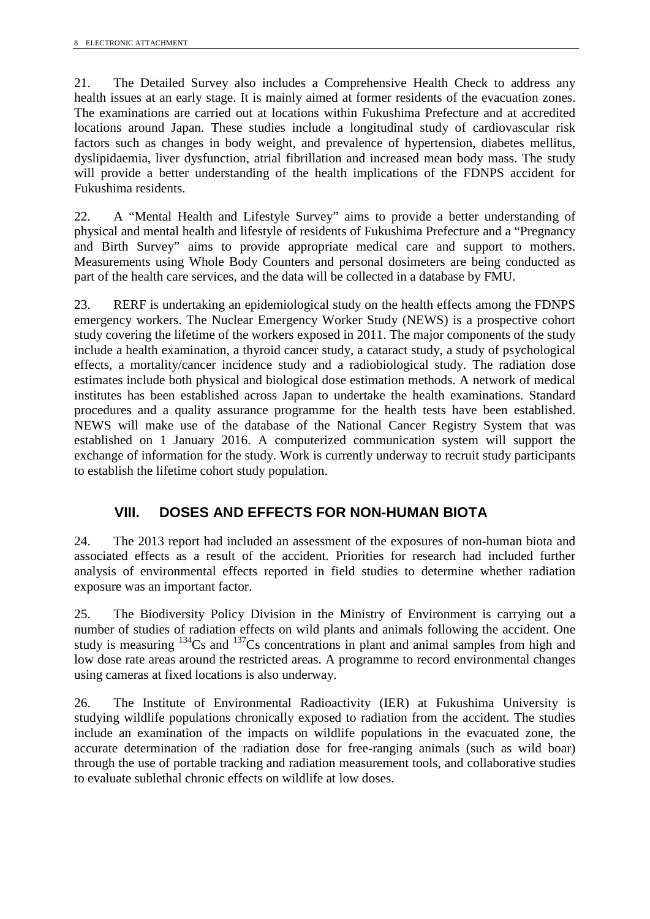21. The Detailed Survey also includes a Comprehensive Health Check to address any health issues at an early stage. It is mainly aimed at former residents of the evacuation zones. The examinations are carried out at locations within Fukushima Prefecture and at accredited locations around Japan. These studies include a longitudinal study of cardiovascular risk factors such as changes in body weight, and prevalence of hypertension, diabetes mellitus, dyslipidaemia, liver dysfunction, atrial fibrillation and increased mean body mass. The study will provide a better understanding of the health implications of the FDNPS accident for Fukushima residents.

22. A "Mental Health and Lifestyle Survey" aims to provide a better understanding of physical and mental health and lifestyle of residents of Fukushima Prefecture and a "Pregnancy and Birth Survey" aims to provide appropriate medical care and support to mothers. Measurements using Whole Body Counters and personal dosimeters are being conducted as part of the health care services, and the data will be collected in a database by FMU.

23. RERF is undertaking an epidemiological study on the health effects among the FDNPS emergency workers. The Nuclear Emergency Worker Study (NEWS) is a prospective cohort study covering the lifetime of the workers exposed in 2011. The major components of the study include a health examination, a thyroid cancer study, a cataract study, a study of psychological effects, a mortality/cancer incidence study and a radiobiological study. The radiation dose estimates include both physical and biological dose estimation methods. A network of medical institutes has been established across Japan to undertake the health examinations. Standard procedures and a quality assurance programme for the health tests have been established. NEWS will make use of the database of the National Cancer Registry System that was established on 1 January 2016. A computerized communication system will support the exchange of information for the study. Work is currently underway to recruit study participants to establish the lifetime cohort study population.

#### <span id="page-7-0"></span>**VIII. DOSES AND EFFECTS FOR NON-HUMAN BIOTA**

24. The 2013 report had included an assessment of the exposures of non-human biota and associated effects as a result of the accident. Priorities for research had included further analysis of environmental effects reported in field studies to determine whether radiation exposure was an important factor.

25. The Biodiversity Policy Division in the Ministry of Environment is carrying out a number of studies of radiation effects on wild plants and animals following the accident. One study is measuring <sup>134</sup>Cs and <sup>137</sup>Cs concentrations in plant and animal samples from high and low dose rate areas around the restricted areas. A programme to record environmental changes using cameras at fixed locations is also underway.

26. The Institute of Environmental Radioactivity (IER) at Fukushima University is studying wildlife populations chronically exposed to radiation from the accident. The studies include an examination of the impacts on wildlife populations in the evacuated zone, the accurate determination of the radiation dose for free-ranging animals (such as wild boar) through the use of portable tracking and radiation measurement tools, and collaborative studies to evaluate sublethal chronic effects on wildlife at low doses.